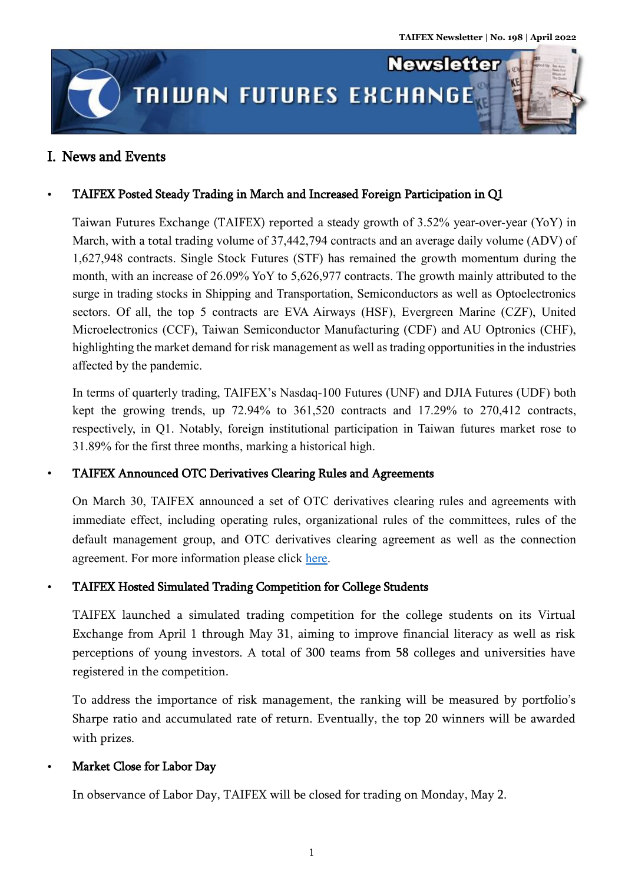**Newsletter** 

# **TAIWAN FUTURES EXCHANGE**

# I. News and Events

j ļ l

ĺ

# TAIFEX Posted Steady Trading in March and Increased Foreign Participation in Q1

Taiwan Futures Exchange (TAIFEX) reported a steady growth of 3.52% year-over-year (YoY) in March, with a total trading volume of 37,442,794 contracts and an average daily volume (ADV) of 1,627,948 contracts. Single Stock Futures (STF) has remained the growth momentum during the month, with an increase of 26.09% YoY to 5,626,977 contracts. The growth mainly attributed to the surge in trading stocks in Shipping and Transportation, Semiconductors as well as Optoelectronics sectors. Of all, the top 5 contracts are EVA Airways (HSF), Evergreen Marine (CZF), United Microelectronics (CCF), Taiwan Semiconductor Manufacturing (CDF) and AU Optronics (CHF), highlighting the market demand for risk management as well as trading opportunities in the industries affected by the pandemic.

In terms of quarterly trading, TAIFEX's Nasdaq-100 Futures (UNF) and DJIA Futures (UDF) both kept the growing trends, up 72.94% to 361,520 contracts and 17.29% to 270,412 contracts, respectively, in Q1. Notably, foreign institutional participation in Taiwan futures market rose to 31.89% for the first three months, marking a historical high.

# TAIFEX Announced OTC Derivatives Clearing Rules and Agreements

On March 30, TAIFEX announced a set of OTC derivatives clearing rules and agreements with immediate effect, including operating rules, organizational rules of the committees, rules of the default management group, and OTC derivatives clearing agreement as well as the connection agreement. For more information please click [here.](https://www.taifex.com.tw/enl/eng11/newsDetail?newsType=1&idx=7217)

# TAIFEX Hosted Simulated Trading Competition for College Students

TAIFEX launched a simulated trading competition for the college students on its Virtual Exchange from April 1 through May 31, aiming to improve financial literacy as well as risk perceptions of young investors. A total of 300 teams from 58 colleges and universities have registered in the competition.

To address the importance of risk management, the ranking will be measured by portfolio's Sharpe ratio and accumulated rate of return. Eventually, the top 20 winners will be awarded with prizes.

# Market Close for Labor Day

In observance of Labor Day, TAIFEX will be closed for trading on Monday, May 2.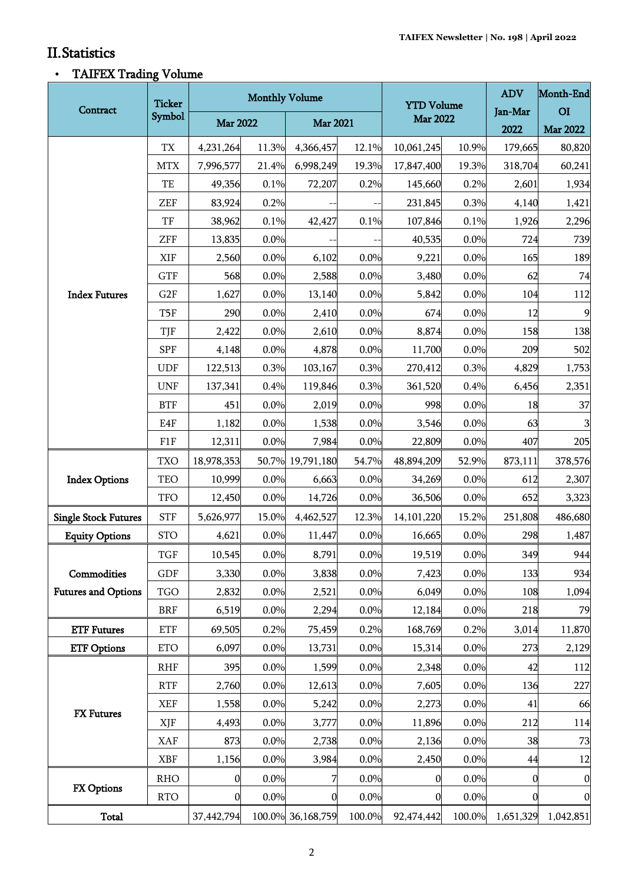.<br>Titul

ı,

# II.Statistics

# TAIFEX Trading Volume

| Contract                                  | <b>Ticker</b><br>Symbol | <b>Monthly Volume</b> |       |                   |        | <b>YTD Volume</b> |        | <b>ADV</b>     | Month-End        |
|-------------------------------------------|-------------------------|-----------------------|-------|-------------------|--------|-------------------|--------|----------------|------------------|
|                                           |                         | <b>Mar 2022</b>       |       | <b>Mar 2021</b>   |        | <b>Mar 2022</b>   |        | Jan-Mar        | O <sub>I</sub>   |
|                                           |                         |                       |       |                   |        |                   |        | 2022           | <b>Mar 2022</b>  |
| <b>Index Futures</b>                      | TX                      | 4,231,264             | 11.3% | 4,366,457         | 12.1%  | 10,061,245        | 10.9%  | 179,665        | 80,820           |
|                                           | <b>MTX</b>              | 7,996,577             | 21.4% | 6,998,249         | 19.3%  | 17,847,400        | 19.3%  | 318,704        | 60,241           |
|                                           | TE                      | 49,356                | 0.1%  | 72,207            | 0.2%   | 145,660           | 0.2%   | 2,601          | 1,934            |
|                                           | ZEF                     | 83,924                | 0.2%  |                   |        | 231,845           | 0.3%   | 4,140          | 1,421            |
|                                           | TF                      | 38,962                | 0.1%  | 42,427            | 0.1%   | 107,846           | 0.1%   | 1,926          | 2,296            |
|                                           | ZFF                     | 13,835                | 0.0%  |                   |        | 40,535            | 0.0%   | 724            | 739              |
|                                           | XIF                     | 2,560                 | 0.0%  | 6,102             | 0.0%   | 9,221             | 0.0%   | 165            | 189              |
|                                           | <b>GTF</b>              | 568                   | 0.0%  | 2,588             | 0.0%   | 3,480             | 0.0%   | 62             | 74               |
|                                           | G2F                     | 1,627                 | 0.0%  | 13,140            | 0.0%   | 5,842             | 0.0%   | 104            | 112              |
|                                           | T <sub>5F</sub>         | 290                   | 0.0%  | 2,410             | 0.0%   | 674               | 0.0%   | 12             | 9                |
|                                           | TJF                     | 2,422                 | 0.0%  | 2,610             | 0.0%   | 8,874             | 0.0%   | 158            | 138              |
|                                           | <b>SPF</b>              | 4,148                 | 0.0%  | 4,878             | 0.0%   | 11,700            | 0.0%   | 209            | 502              |
|                                           | <b>UDF</b>              | 122,513               | 0.3%  | 103,167           | 0.3%   | 270,412           | 0.3%   | 4,829          | 1,753            |
|                                           | <b>UNF</b>              | 137,341               | 0.4%  | 119,846           | 0.3%   | 361,520           | 0.4%   | 6,456          | 2,351            |
|                                           | <b>BTF</b>              | 451                   | 0.0%  | 2,019             | 0.0%   | 998               | 0.0%   | 18             | 37               |
|                                           | E4F                     | 1,182                 | 0.0%  | 1,538             | 0.0%   | 3,546             | 0.0%   | 63             | $\mathbf{3}$     |
|                                           | F1F                     | 12,311                | 0.0%  | 7,984             | 0.0%   | 22,809            | 0.0%   | 407            | 205              |
| <b>Index Options</b>                      | <b>TXO</b>              | 18,978,353            |       | 50.7% 19,791,180  | 54.7%  | 48,894,209        | 52.9%  | 873,111        | 378,576          |
|                                           | <b>TEO</b>              | 10,999                | 0.0%  | 6,663             | 0.0%   | 34,269            | 0.0%   | 612            | 2,307            |
|                                           | <b>TFO</b>              | 12,450                | 0.0%  | 14,726            | 0.0%   | 36,506            | 0.0%   | 652            | 3,323            |
| <b>Single Stock Futures</b>               | <b>STF</b>              | 5,626,977             | 15.0% | 4,462,527         | 12.3%  | 14, 101, 220      | 15.2%  | 251,808        | 486,680          |
| <b>Equity Options</b>                     | <b>STO</b>              | 4,621                 | 0.0%  | 11,447            | 0.0%   | 16,665            | 0.0%   | 298            | 1,487            |
| Commodities<br><b>Futures and Options</b> | TGF                     | 10,545                | 0.0%  | 8,791             | 0.0%   | 19,519            | 0.0%   | 349            | 944              |
|                                           | GDF                     | 3,330                 | 0.0%  | 3,838             | 0.0%   | 7,423             | 0.0%   | 133            | 934              |
|                                           | <b>TGO</b>              | 2,832                 | 0.0%  | 2,521             | 0.0%   | 6,049             | 0.0%   | 108            | 1,094            |
|                                           | <b>BRF</b>              | 6,519                 | 0.0%  | 2,294             | 0.0%   | 12,184            | 0.0%   | 218            | 79               |
| <b>ETF Futures</b>                        | <b>ETF</b>              | 69,505                | 0.2%  | 75,459            | 0.2%   | 168,769           | 0.2%   | 3,014          | 11,870           |
| <b>ETF Options</b>                        | <b>ETO</b>              | 6,097                 | 0.0%  | 13,731            | 0.0%   | 15,314            | 0.0%   | 273            | 2,129            |
| <b>FX</b> Futures                         | <b>RHF</b>              | 395                   | 0.0%  | 1,599             | 0.0%   | 2,348             | 0.0%   | 42             | 112              |
|                                           | <b>RTF</b>              | 2,760                 | 0.0%  | 12,613            | 0.0%   | 7,605             | 0.0%   | 136            | 227              |
|                                           | <b>XEF</b>              | 1,558                 | 0.0%  | 5,242             | 0.0%   | 2,273             | 0.0%   | 41             | 66               |
|                                           | XJF                     | 4,493                 | 0.0%  | 3,777             | 0.0%   | 11,896            | 0.0%   | 212            | 114              |
|                                           | <b>XAF</b>              | 873                   | 0.0%  | 2,738             | 0.0%   | 2,136             | 0.0%   | 38             | 73               |
|                                           | <b>XBF</b>              | 1,156                 | 0.0%  | 3,984             | 0.0%   | 2,450             | 0.0%   | 44             | 12               |
| FX Options                                | <b>RHO</b>              | 0                     | 0.0%  | 7                 | 0.0%   | 0                 | 0.0%   | $\overline{0}$ | $\boldsymbol{0}$ |
|                                           | <b>RTO</b>              | 0                     | 0.0%  | $\boldsymbol{0}$  | 0.0%   | 0                 | 0.0%   | 0              | $\mathbf{0}$     |
| <b>Total</b>                              |                         | 37,442,794            |       | 100.0% 36,168,759 | 100.0% | 92,474,442        | 100.0% | 1,651,329      | 1,042,851        |